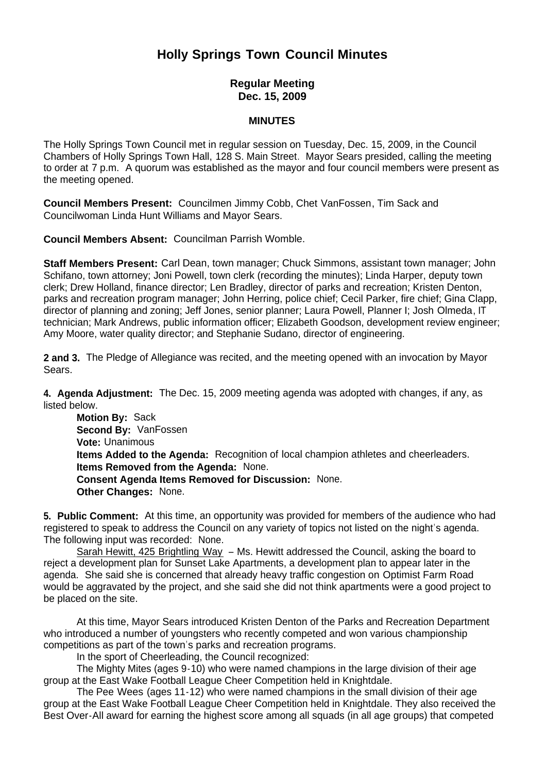## **Holly Springs Town Council Minutes**

## **Regular Meeting Dec. 15, 2009**

## **MINUTES**

The Holly Springs Town Council met in regular session on Tuesday, Dec. 15, 2009, in the Council Chambers of Holly Springs Town Hall, 128 S. Main Street. Mayor Sears presided, calling the meeting to order at 7 p.m. A quorum was established as the mayor and four council members were present as the meeting opened.

**Council Members Present:** Councilmen Jimmy Cobb, Chet VanFossen, Tim Sack and Councilwoman Linda Hunt Williams and Mayor Sears.

**Council Members Absent:** Councilman Parrish Womble.

**Staff Members Present:** Carl Dean, town manager; Chuck Simmons, assistant town manager; John Schifano, town attorney; Joni Powell, town clerk (recording the minutes); Linda Harper, deputy town clerk; Drew Holland, finance director; Len Bradley, director of parks and recreation; Kristen Denton, parks and recreation program manager; John Herring, police chief; Cecil Parker, fire chief; Gina Clapp, director of planning and zoning; Jeff Jones, senior planner; Laura Powell, Planner I; Josh Olmeda, IT technician; Mark Andrews, public information officer; Elizabeth Goodson, development review engineer; Amy Moore, water quality director; and Stephanie Sudano, director of engineering.

**2 and 3.** The Pledge of Allegiance was recited, and the meeting opened with an invocation by Mayor Sears.

**4. Agenda Adjustment:** The Dec. 15, 2009 meeting agenda was adopted with changes, if any, as listed below.

**Motion By: Sack Second By:** VanFossen **Vote:** Unanimous **Items Added to the Agenda:** Recognition of local champion athletes and cheerleaders.  **Items Removed from the Agenda:** None. **Consent Agenda Items Removed for Discussion:** None. **Other Changes:** None.

**5. Public Comment:** At this time, an opportunity was provided for members of the audience who had registered to speak to address the Council on any variety of topics not listed on the night's agenda. The following input was recorded: None.

Sarah Hewitt, 425 Brightling Way - Ms. Hewitt addressed the Council, asking the board to reject a development plan for Sunset Lake Apartments, a development plan to appear later in the agenda. She said she is concerned that already heavy traffic congestion on Optimist Farm Road would be aggravated by the project, and she said she did not think apartments were a good project to be placed on the site.

At this time, Mayor Sears introduced Kristen Denton of the Parks and Recreation Department who introduced a number of youngsters who recently competed and won various championship competitions as part of the town's parks and recreation programs.

In the sport of Cheerleading, the Council recognized:

The Mighty Mites (ages 9-10) who were named champions in the large division of their age group at the East Wake Football League Cheer Competition held in Knightdale.

The Pee Wees (ages 11-12) who were named champions in the small division of their age group at the East Wake Football League Cheer Competition held in Knightdale. They also received the Best Over-All award for earning the highest score among all squads (in all age groups) that competed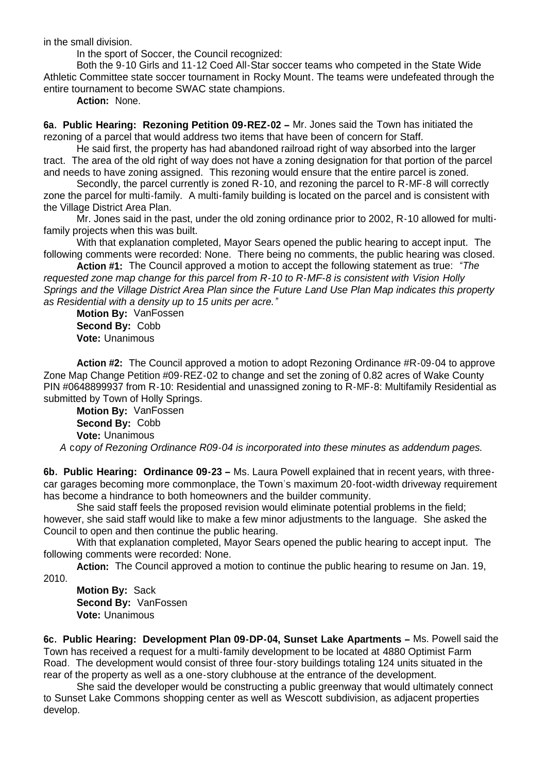in the small division.

In the sport of Soccer, the Council recognized:

Both the 9-10 Girls and 11-12 Coed All-Star soccer teams who competed in the State Wide Athletic Committee state soccer tournament in Rocky Mount. The teams were undefeated through the entire tournament to become SWAC state champions.

**Action:** None.

**6a. Public Hearing: Rezoning Petition 09-REZ-02 –** Mr. Jones said the Town has initiated the rezoning of a parcel that would address two items that have been of concern for Staff.

 He said first, the property has had abandoned railroad right of way absorbed into the larger tract. The area of the old right of way does not have a zoning designation for that portion of the parcel and needs to have zoning assigned. This rezoning would ensure that the entire parcel is zoned.

 Secondly, the parcel currently is zoned R-10, and rezoning the parcel to R-MF-8 will correctly zone the parcel for multi-family. A multi-family building is located on the parcel and is consistent with the Village District Area Plan.

 Mr. Jones said in the past, under the old zoning ordinance prior to 2002, R-10 allowed for multifamily projects when this was built.

With that explanation completed, Mayor Sears opened the public hearing to accept input. The following comments were recorded: None. There being no comments, the public hearing was closed.

 **Action #1:** The Council approved a motion to accept the following statement as true: *"The requested zone map change for this parcel from R-10 to R-MF-8 is consistent with Vision Holly Springs and the Village District Area Plan since the Future Land Use Plan Map indicates this property as Residential with a density up to 15 units per acre."*

**Motion By:** VanFossen **Second By:** Cobb **Vote:** Unanimous

 **Action #2:** The Council approved a motion to adopt Rezoning Ordinance #R-09-04 to approve Zone Map Change Petition #09-REZ-02 to change and set the zoning of 0.82 acres of Wake County PIN #0648899937 from R-10: Residential and unassigned zoning to R-MF-8: Multifamily Residential as submitted by Town of Holly Springs.

**Motion By:** VanFossen **Second By:** Cobb **Vote:** Unanimous *A* c*opy of Rezoning Ordinance R09-04 is incorporated into these minutes as addendum pages.*

**6b. Public Hearing: Ordinance 09-23 –** Ms. Laura Powell explained that in recent years, with threecar garages becoming more commonplace, the Town's maximum 20-foot-width driveway requirement has become a hindrance to both homeowners and the builder community.

 She said staff feels the proposed revision would eliminate potential problems in the field; however, she said staff would like to make a few minor adjustments to the language. She asked the Council to open and then continue the public hearing.

With that explanation completed, Mayor Sears opened the public hearing to accept input. The following comments were recorded: None.

**Action:** The Council approved a motion to continue the public hearing to resume on Jan. 19, 2010.

**Motion By:** Sack **Second By:** VanFossen **Vote:** Unanimous

**6c. Public Hearing: Development Plan 09-DP-04, Sunset Lake Apartments –** Ms. Powell said the Town has received a request for a multi-family development to be located at 4880 Optimist Farm Road. The development would consist of three four-story buildings totaling 124 units situated in the rear of the property as well as a one-story clubhouse at the entrance of the development.

 She said the developer would be constructing a public greenway that would ultimately connect to Sunset Lake Commons shopping center as well as Wescott subdivision, as adjacent properties develop.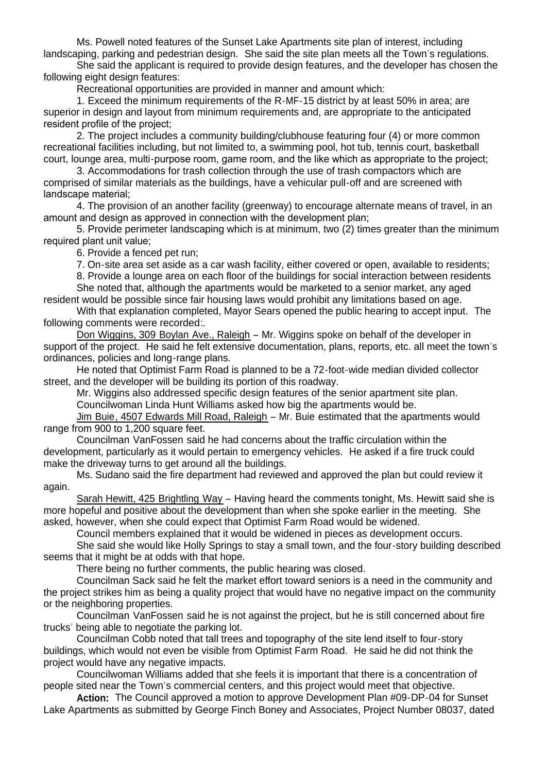Ms. Powell noted features of the Sunset Lake Apartments site plan of interest, including landscaping, parking and pedestrian design. She said the site plan meets all the Town's regulations.

 She said the applicant is required to provide design features, and the developer has chosen the following eight design features:

Recreational opportunities are provided in manner and amount which:

1. Exceed the minimum requirements of the R-MF-15 district by at least 50% in area; are superior in design and layout from minimum requirements and, are appropriate to the anticipated resident profile of the project;

2. The project includes a community building/clubhouse featuring four (4) or more common recreational facilities including, but not limited to, a swimming pool, hot tub, tennis court, basketball court, lounge area, multi-purpose room, game room, and the like which as appropriate to the project;

3. Accommodations for trash collection through the use of trash compactors which are comprised of similar materials as the buildings, have a vehicular pull-off and are screened with landscape material;

4. The provision of an another facility (greenway) to encourage alternate means of travel, in an amount and design as approved in connection with the development plan;

5. Provide perimeter landscaping which is at minimum, two (2) times greater than the minimum required plant unit value;

6. Provide a fenced pet run;

7. On-site area set aside as a car wash facility, either covered or open, available to residents;

8. Provide a lounge area on each floor of the buildings for social interaction between residents She noted that, although the apartments would be marketed to a senior market, any aged

resident would be possible since fair housing laws would prohibit any limitations based on age. With that explanation completed, Mayor Sears opened the public hearing to accept input. The

following comments were recorded:.

Don Wiggins, 309 Boylan Ave., Raleigh – Mr. Wiggins spoke on behalf of the developer in support of the project. He said he felt extensive documentation, plans, reports, etc. all meet the town's ordinances, policies and long-range plans.

He noted that Optimist Farm Road is planned to be a 72-foot-wide median divided collector street, and the developer will be building its portion of this roadway.

Mr. Wiggins also addressed specific design features of the senior apartment site plan. Councilwoman Linda Hunt Williams asked how big the apartments would be.

Jim Buie, 4507 Edwards Mill Road, Raleigh – Mr. Buie estimated that the apartments would range from 900 to 1,200 square feet.

Councilman VanFossen said he had concerns about the traffic circulation within the development, particularly as it would pertain to emergency vehicles. He asked if a fire truck could make the driveway turns to get around all the buildings.

Ms. Sudano said the fire department had reviewed and approved the plan but could review it again.

Sarah Hewitt, 425 Brightling Way – Having heard the comments tonight, Ms. Hewitt said she is more hopeful and positive about the development than when she spoke earlier in the meeting. She asked, however, when she could expect that Optimist Farm Road would be widened.

Council members explained that it would be widened in pieces as development occurs.

She said she would like Holly Springs to stay a small town, and the four-story building described seems that it might be at odds with that hope.

There being no further comments, the public hearing was closed.

Councilman Sack said he felt the market effort toward seniors is a need in the community and the project strikes him as being a quality project that would have no negative impact on the community or the neighboring properties.

Councilman VanFossen said he is not against the project, but he is still concerned about fire trucks' being able to negotiate the parking lot.

Councilman Cobb noted that tall trees and topography of the site lend itself to four-story buildings, which would not even be visible from Optimist Farm Road. He said he did not think the project would have any negative impacts.

Councilwoman Williams added that she feels it is important that there is a concentration of people sited near the Town's commercial centers, and this project would meet that objective.

**Action:** The Council approved a motion to approve Development Plan #09-DP-04 for Sunset Lake Apartments as submitted by George Finch Boney and Associates, Project Number 08037, dated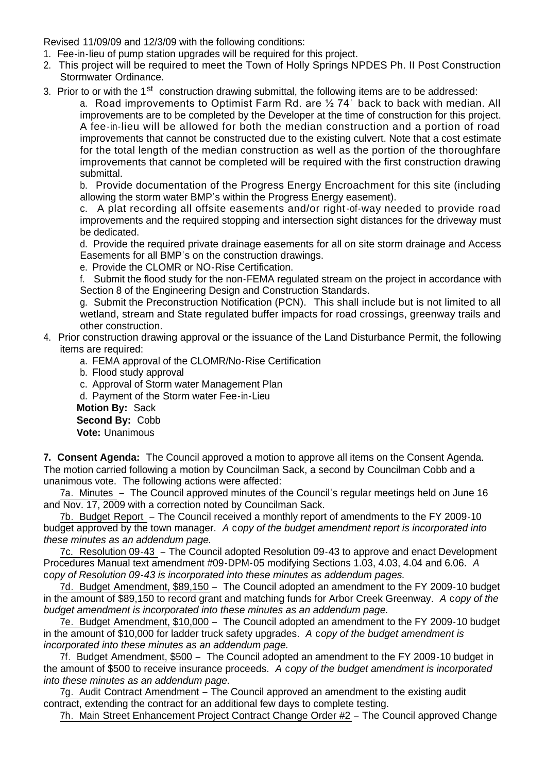Revised 11/09/09 and 12/3/09 with the following conditions:

- 1. Fee-in-lieu of pump station upgrades will be required for this project.
- 2. This project will be required to meet the Town of Holly Springs NPDES Ph. II Post Construction Stormwater Ordinance.
- 3. Prior to or with the 1<sup>st</sup> construction drawing submittal, the following items are to be addressed:

a. Road improvements to Optimist Farm Rd. are ½ 74' back to back with median. All improvements are to be completed by the Developer at the time of construction for this project. A fee-in-lieu will be allowed for both the median construction and a portion of road improvements that cannot be constructed due to the existing culvert. Note that a cost estimate for the total length of the median construction as well as the portion of the thoroughfare improvements that cannot be completed will be required with the first construction drawing submittal.

b. Provide documentation of the Progress Energy Encroachment for this site (including allowing the storm water BMP's within the Progress Energy easement).

c. A plat recording all offsite easements and/or right-of-way needed to provide road improvements and the required stopping and intersection sight distances for the driveway must be dedicated.

d. Provide the required private drainage easements for all on site storm drainage and Access Easements for all BMP's on the construction drawings.

e. Provide the CLOMR or NO-Rise Certification.

f. Submit the flood study for the non-FEMA regulated stream on the project in accordance with Section 8 of the Engineering Design and Construction Standards.

g. Submit the Preconstruction Notification (PCN). This shall include but is not limited to all wetland, stream and State regulated buffer impacts for road crossings, greenway trails and other construction.

- 4. Prior construction drawing approval or the issuance of the Land Disturbance Permit, the following items are required:
	- a. FEMA approval of the CLOMR/No-Rise Certification
	- b. Flood study approval

c. Approval of Storm water Management Plan

d. Payment of the Storm water Fee-in-Lieu

**Motion By:** Sack **Second By:** Cobb **Vote:** Unanimous

**7. Consent Agenda:** The Council approved a motion to approve all items on the Consent Agenda. The motion carried following a motion by Councilman Sack, a second by Councilman Cobb and a unanimous vote. The following actions were affected:

7a. Minutes – The Council approved minutes of the Council's regular meetings held on June 16 and Nov. 17, 2009 with a correction noted by Councilman Sack.

7b. Budget Report – The Council received a monthly report of amendments to the FY 2009-10 budget approved by the town manager. *A* c*opy of the budget amendment report is incorporated into these minutes as an addendum page.*

7c. Resolution 09-43 – The Council adopted Resolution 09-43 to approve and enact Development Procedures Manual text amendment #09-DPM-05 modifying Sections 1.03, 4.03, 4.04 and 6.06. *A*  c*opy of Resolution 09-43 is incorporated into these minutes as addendum pages.*

7d. Budget Amendment, \$89,150 – The Council adopted an amendment to the FY 2009-10 budget in the amount of \$89,150 to record grant and matching funds for Arbor Creek Greenway. *A* c*opy of the budget amendment is incorporated into these minutes as an addendum page.*

7e. Budget Amendment, \$10,000 – The Council adopted an amendment to the FY 2009-10 budget in the amount of \$10,000 for ladder truck safety upgrades. *A* c*opy of the budget amendment is incorporated into these minutes as an addendum page.*

7f. Budget Amendment, \$500 – The Council adopted an amendment to the FY 2009-10 budget in the amount of \$500 to receive insurance proceeds. *A* c*opy of the budget amendment is incorporated into these minutes as an addendum page.*

7g. Audit Contract Amendment – The Council approved an amendment to the existing audit contract, extending the contract for an additional few days to complete testing.

7h. Main Street Enhancement Project Contract Change Order #2 – The Council approved Change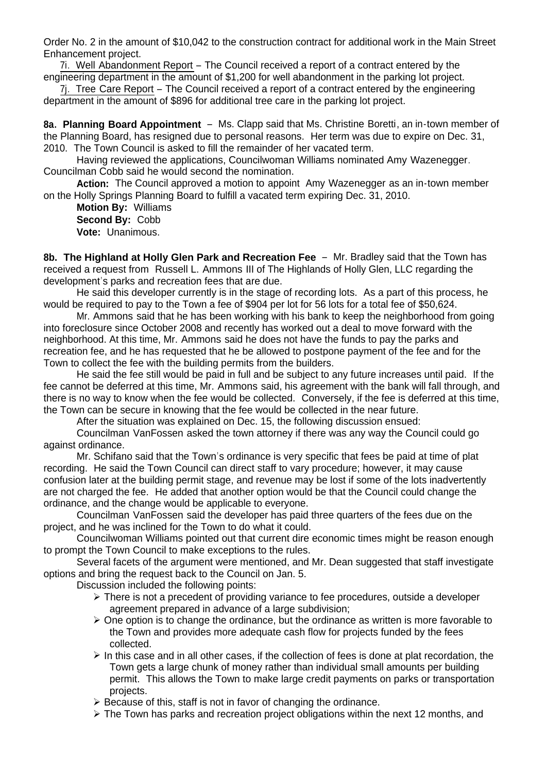Order No. 2 in the amount of \$10,042 to the construction contract for additional work in the Main Street Enhancement project.

7i. Well Abandonment Report – The Council received a report of a contract entered by the engineering department in the amount of \$1,200 for well abandonment in the parking lot project.

7j. Tree Care Report – The Council received a report of a contract entered by the engineering department in the amount of \$896 for additional tree care in the parking lot project.

**8a. Planning Board Appointment** – Ms. Clapp said that Ms. Christine Boretti, an in-town member of the Planning Board, has resigned due to personal reasons. Her term was due to expire on Dec. 31, 2010. The Town Council is asked to fill the remainder of her vacated term.

Having reviewed the applications, Councilwoman Williams nominated Amy Wazenegger. Councilman Cobb said he would second the nomination.

 **Action:** The Council approved a motion to appoint Amy Wazenegger as an in-town member on the Holly Springs Planning Board to fulfill a vacated term expiring Dec. 31, 2010.

**Motion By:** Williams **Second By:** Cobb **Vote:** Unanimous.

**8b. The Highland at Holly Glen Park and Recreation Fee** – Mr. Bradley said that the Town has received a request from Russell L. Ammons III of The Highlands of Holly Glen, LLC regarding the development's parks and recreation fees that are due.

He said this developer currently is in the stage of recording lots. As a part of this process, he would be required to pay to the Town a fee of \$904 per lot for 56 lots for a total fee of \$50,624.

Mr. Ammons said that he has been working with his bank to keep the neighborhood from going into foreclosure since October 2008 and recently has worked out a deal to move forward with the neighborhood. At this time, Mr. Ammons said he does not have the funds to pay the parks and recreation fee, and he has requested that he be allowed to postpone payment of the fee and for the Town to collect the fee with the building permits from the builders.

He said the fee still would be paid in full and be subject to any future increases until paid. If the fee cannot be deferred at this time, Mr. Ammons said, his agreement with the bank will fall through, and there is no way to know when the fee would be collected. Conversely, if the fee is deferred at this time, the Town can be secure in knowing that the fee would be collected in the near future.

After the situation was explained on Dec. 15, the following discussion ensued:

Councilman VanFossen asked the town attorney if there was any way the Council could go against ordinance.

Mr. Schifano said that the Town's ordinance is very specific that fees be paid at time of plat recording. He said the Town Council can direct staff to vary procedure; however, it may cause confusion later at the building permit stage, and revenue may be lost if some of the lots inadvertently are not charged the fee. He added that another option would be that the Council could change the ordinance, and the change would be applicable to everyone.

Councilman VanFossen said the developer has paid three quarters of the fees due on the project, and he was inclined for the Town to do what it could.

Councilwoman Williams pointed out that current dire economic times might be reason enough to prompt the Town Council to make exceptions to the rules.

Several facets of the argument were mentioned, and Mr. Dean suggested that staff investigate options and bring the request back to the Council on Jan. 5.

Discussion included the following points:

- $\triangleright$  There is not a precedent of providing variance to fee procedures, outside a developer agreement prepared in advance of a large subdivision;
- $\triangleright$  One option is to change the ordinance, but the ordinance as written is more favorable to the Town and provides more adequate cash flow for projects funded by the fees collected.
- $\triangleright$  In this case and in all other cases, if the collection of fees is done at plat recordation, the Town gets a large chunk of money rather than individual small amounts per building permit. This allows the Town to make large credit payments on parks or transportation projects.
- $\triangleright$  Because of this, staff is not in favor of changing the ordinance.
- $\triangleright$  The Town has parks and recreation project obligations within the next 12 months, and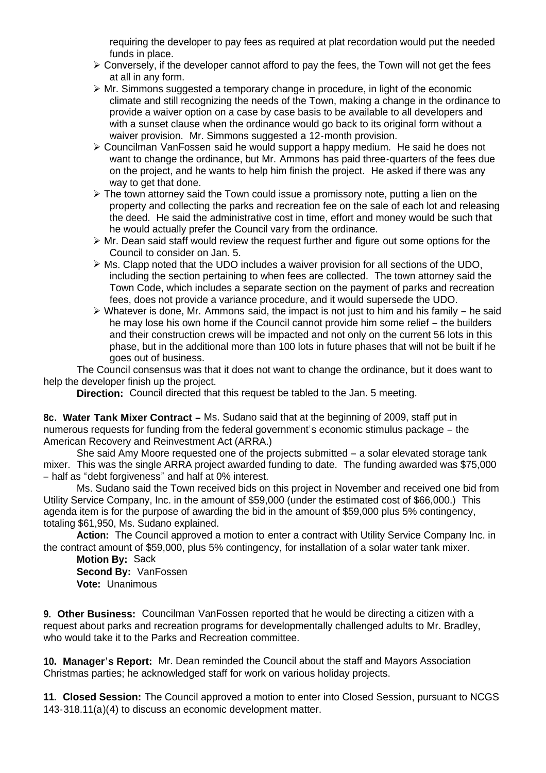requiring the developer to pay fees as required at plat recordation would put the needed funds in place.

- $\triangleright$  Conversely, if the developer cannot afford to pay the fees, the Town will not get the fees at all in any form.
- $\triangleright$  Mr. Simmons suggested a temporary change in procedure, in light of the economic climate and still recognizing the needs of the Town, making a change in the ordinance to provide a waiver option on a case by case basis to be available to all developers and with a sunset clause when the ordinance would go back to its original form without a waiver provision. Mr. Simmons suggested a 12-month provision.
- Councilman VanFossen said he would support a happy medium. He said he does not want to change the ordinance, but Mr. Ammons has paid three-quarters of the fees due on the project, and he wants to help him finish the project. He asked if there was any way to get that done.
- $\triangleright$  The town attorney said the Town could issue a promissory note, putting a lien on the property and collecting the parks and recreation fee on the sale of each lot and releasing the deed. He said the administrative cost in time, effort and money would be such that he would actually prefer the Council vary from the ordinance.
- $\triangleright$  Mr. Dean said staff would review the request further and figure out some options for the Council to consider on Jan. 5.
- Ms. Clapp noted that the UDO includes a waiver provision for all sections of the UDO, including the section pertaining to when fees are collected. The town attorney said the Town Code, which includes a separate section on the payment of parks and recreation fees, does not provide a variance procedure, and it would supersede the UDO.
- $\triangleright$  Whatever is done, Mr. Ammons said, the impact is not just to him and his family he said he may lose his own home if the Council cannot provide him some relief – the builders and their construction crews will be impacted and not only on the current 56 lots in this phase, but in the additional more than 100 lots in future phases that will not be built if he goes out of business.

The Council consensus was that it does not want to change the ordinance, but it does want to help the developer finish up the project.

**Direction:** Council directed that this request be tabled to the Jan. 5 meeting.

**8c. Water Tank Mixer Contract –** Ms. Sudano said that at the beginning of 2009, staff put in numerous requests for funding from the federal government's economic stimulus package – the American Recovery and Reinvestment Act (ARRA.)

She said Amy Moore requested one of the projects submitted – a solar elevated storage tank mixer. This was the single ARRA project awarded funding to date. The funding awarded was \$75,000 – half as "debt forgiveness" and half at 0% interest.

 Ms. Sudano said the Town received bids on this project in November and received one bid from Utility Service Company, Inc. in the amount of \$59,000 (under the estimated cost of \$66,000.) This agenda item is for the purpose of awarding the bid in the amount of \$59,000 plus 5% contingency, totaling \$61,950, Ms. Sudano explained.

**Action:** The Council approved a motion to enter a contract with Utility Service Company Inc. in the contract amount of \$59,000, plus 5% contingency, for installation of a solar water tank mixer.

**Motion By:** Sack **Second By:** VanFossen **Vote:** Unanimous

**9. Other Business:** Councilman VanFossen reported that he would be directing a citizen with a request about parks and recreation programs for developmentally challenged adults to Mr. Bradley, who would take it to the Parks and Recreation committee.

**10. Manager's Report:** Mr. Dean reminded the Council about the staff and Mayors Association Christmas parties; he acknowledged staff for work on various holiday projects.

**11. Closed Session:** The Council approved a motion to enter into Closed Session, pursuant to NCGS 143-318.11(a)(4) to discuss an economic development matter.